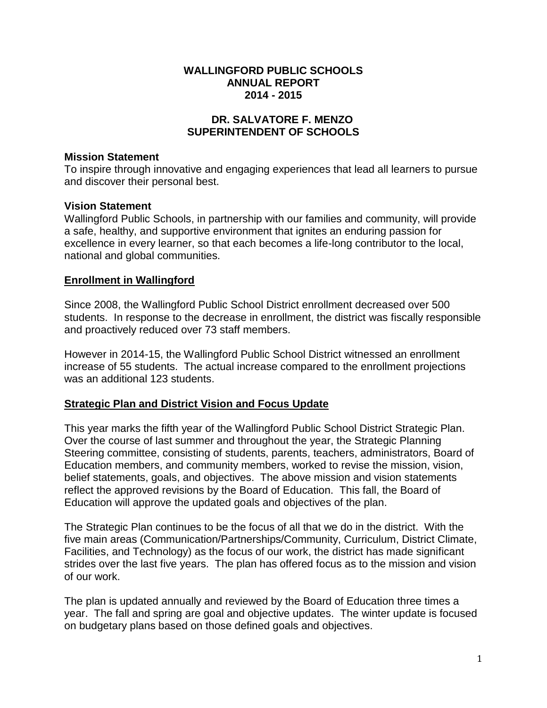#### **WALLINGFORD PUBLIC SCHOOLS ANNUAL REPORT 2014 - 2015**

## **DR. SALVATORE F. MENZO SUPERINTENDENT OF SCHOOLS**

### **Mission Statement**

To inspire through innovative and engaging experiences that lead all learners to pursue and discover their personal best.

## **Vision Statement**

Wallingford Public Schools, in partnership with our families and community, will provide a safe, healthy, and supportive environment that ignites an enduring passion for excellence in every learner, so that each becomes a life-long contributor to the local, national and global communities.

## **Enrollment in Wallingford**

Since 2008, the Wallingford Public School District enrollment decreased over 500 students. In response to the decrease in enrollment, the district was fiscally responsible and proactively reduced over 73 staff members.

However in 2014-15, the Wallingford Public School District witnessed an enrollment increase of 55 students. The actual increase compared to the enrollment projections was an additional 123 students.

# **Strategic Plan and District Vision and Focus Update**

This year marks the fifth year of the Wallingford Public School District Strategic Plan. Over the course of last summer and throughout the year, the Strategic Planning Steering committee, consisting of students, parents, teachers, administrators, Board of Education members, and community members, worked to revise the mission, vision, belief statements, goals, and objectives. The above mission and vision statements reflect the approved revisions by the Board of Education. This fall, the Board of Education will approve the updated goals and objectives of the plan.

The Strategic Plan continues to be the focus of all that we do in the district. With the five main areas (Communication/Partnerships/Community, Curriculum, District Climate, Facilities, and Technology) as the focus of our work, the district has made significant strides over the last five years. The plan has offered focus as to the mission and vision of our work.

The plan is updated annually and reviewed by the Board of Education three times a year. The fall and spring are goal and objective updates. The winter update is focused on budgetary plans based on those defined goals and objectives.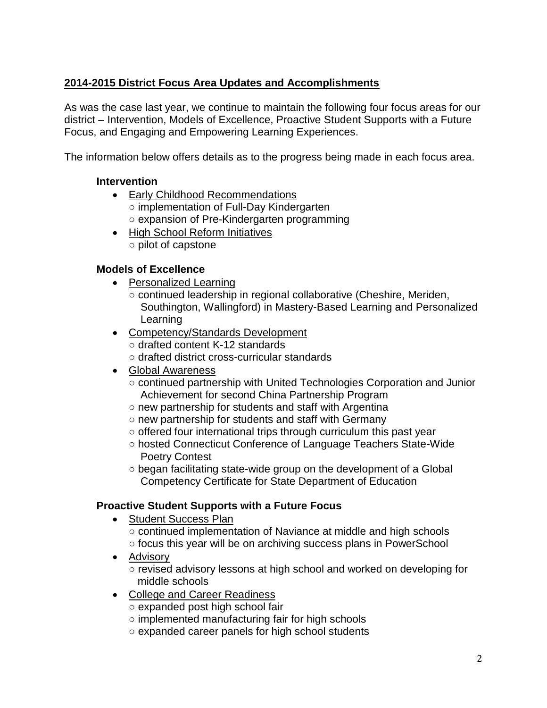# **2014-2015 District Focus Area Updates and Accomplishments**

As was the case last year, we continue to maintain the following four focus areas for our district – Intervention, Models of Excellence, Proactive Student Supports with a Future Focus, and Engaging and Empowering Learning Experiences.

The information below offers details as to the progress being made in each focus area.

## **Intervention**

- Early Childhood Recommendations ○ implementation of Full-Day Kindergarten ○ expansion of Pre-Kindergarten programming
- High School Reform Initiatives ○ pilot of capstone

# **Models of Excellence**

- [Personalized Learning](http://www.wallingford.k12.ct.us/page.cfm?p=13956)
	- continued leadership in regional collaborative (Cheshire, Meriden, Southington, Wallingford) in Mastery-Based Learning and Personalized **Learning**
- [Competency/Standards Development](http://www.wallingford.k12.ct.us/page.cfm?p=13955)
	- drafted content K-12 standards
	- drafted district cross-curricular standards
- Global Awareness
	- continued partnership with United Technologies Corporation and Junior Achievement for second China Partnership Program
	- new partnership for students and staff with Argentina
	- new partnership for students and staff with Germany
	- offered four international trips through curriculum this past year
	- hosted Connecticut Conference of Language Teachers State-Wide Poetry Contest
	- began facilitating state-wide group on the development of a Global Competency Certificate for State Department of Education

# **Proactive Student Supports with a Future Focus**

- Student Success Plan ○ continued implementation of Naviance at middle and high schools ○ focus this year will be on archiving success plans in PowerSchool
- Advisory ○ revised advisory lessons at high school and worked on developing for middle schools
- College and Career Readiness
	- expanded post high school fair
	- implemented manufacturing fair for high schools
	- expanded career panels for high school students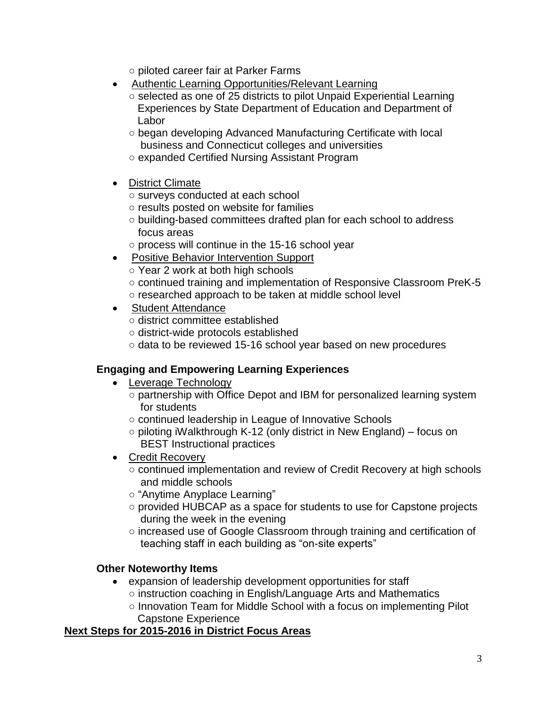○ piloted career fair at Parker Farms

- Authentic Learning Opportunities/Relevant Learning
	- selected as one of 25 districts to pilot Unpaid Experiential Learning Experiences by State Department of Education and Department of Labor
	- began developing Advanced Manufacturing Certificate with local business and Connecticut colleges and universities
	- expanded Certified Nursing Assistant Program
- District Climate
	- surveys conducted at each school
	- results posted on website for families
	- building-based committees drafted plan for each school to address focus areas
	- process will continue in the 15-16 school year
- Positive Behavior Intervention Support
	- Year 2 work at both high schools
	- continued training and implementation of Responsive Classroom PreK-5 ○ researched approach to be taken at middle school level
- Student Attendance
	- district committee established
	- district-wide protocols established
	- data to be reviewed 15-16 school year based on new procedures

# **Engaging and Empowering Learning Experiences**

- Leverage Technology
	- partnership with Office Depot and IBM for personalized learning system for students
	- continued leadership in League of Innovative Schools
	- piloting iWalkthrough K-12 (only district in New England) focus on BEST Instructional practices
- Credit Recovery
	- continued implementation and review of Credit Recovery at high schools and middle schools
	- "Anytime Anyplace Learning"
	- provided HUBCAP as a space for students to use for Capstone projects during the week in the evening
	- increased use of Google Classroom through training and certification of teaching staff in each building as "on-site experts"

# **Other Noteworthy Items**

- expansion of leadership development opportunities for staff
	- instruction coaching in English/Language Arts and Mathematics
	- Innovation Team for Middle School with a focus on implementing Pilot Capstone Experience

### **Next Steps for 2015-2016 in District Focus Areas**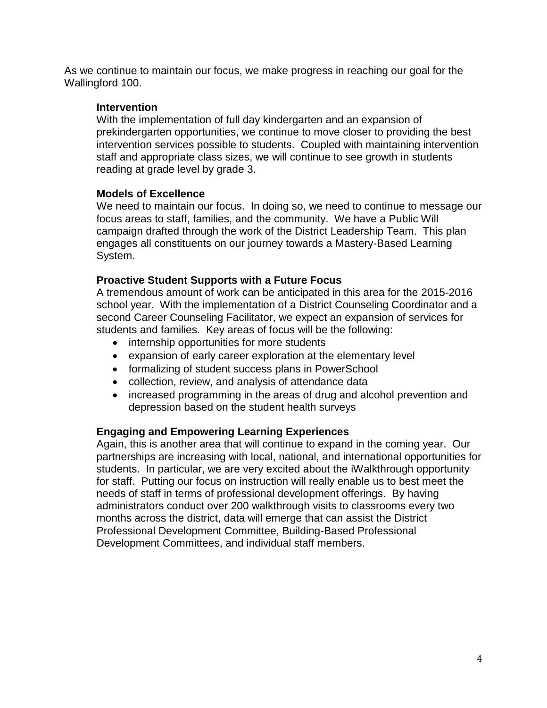As we continue to maintain our focus, we make progress in reaching our goal for the Wallingford 100.

#### **Intervention**

With the implementation of full day kindergarten and an expansion of prekindergarten opportunities, we continue to move closer to providing the best intervention services possible to students. Coupled with maintaining intervention staff and appropriate class sizes, we will continue to see growth in students reading at grade level by grade 3.

### **Models of Excellence**

We need to maintain our focus. In doing so, we need to continue to message our focus areas to staff, families, and the community. We have a Public Will campaign drafted through the work of the District Leadership Team. This plan engages all constituents on our journey towards a Mastery-Based Learning System.

#### **Proactive Student Supports with a Future Focus**

A tremendous amount of work can be anticipated in this area for the 2015-2016 school year. With the implementation of a District Counseling Coordinator and a second Career Counseling Facilitator, we expect an expansion of services for students and families. Key areas of focus will be the following:

- internship opportunities for more students
- expansion of early career exploration at the elementary level
- formalizing of student success plans in PowerSchool
- collection, review, and analysis of attendance data
- increased programming in the areas of drug and alcohol prevention and depression based on the student health surveys

### **Engaging and Empowering Learning Experiences**

Again, this is another area that will continue to expand in the coming year. Our partnerships are increasing with local, national, and international opportunities for students. In particular, we are very excited about the iWalkthrough opportunity for staff. Putting our focus on instruction will really enable us to best meet the needs of staff in terms of professional development offerings. By having administrators conduct over 200 walkthrough visits to classrooms every two months across the district, data will emerge that can assist the District Professional Development Committee, Building-Based Professional Development Committees, and individual staff members.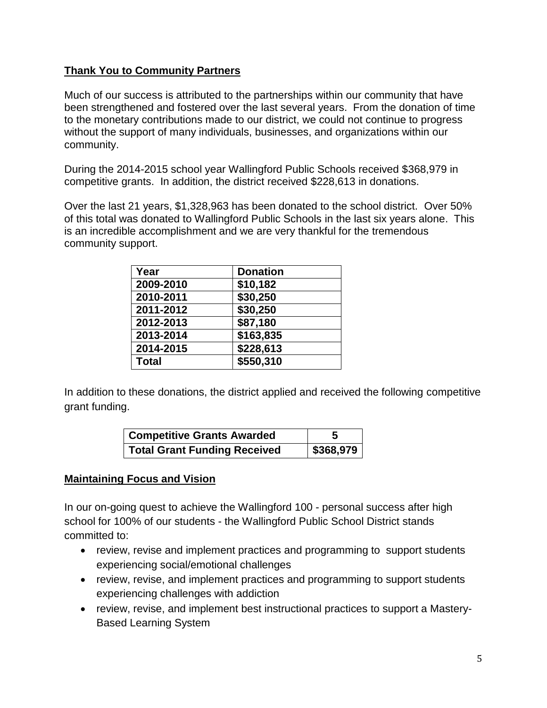# **Thank You to Community Partners**

Much of our success is attributed to the partnerships within our community that have been strengthened and fostered over the last several years. From the donation of time to the monetary contributions made to our district, we could not continue to progress without the support of many individuals, businesses, and organizations within our community.

During the 2014-2015 school year Wallingford Public Schools received \$368,979 in competitive grants. In addition, the district received \$228,613 in donations.

Over the last 21 years, \$1,328,963 has been donated to the school district. Over 50% of this total was donated to Wallingford Public Schools in the last six years alone. This is an incredible accomplishment and we are very thankful for the tremendous community support.

| Year         | <b>Donation</b> |
|--------------|-----------------|
| 2009-2010    | \$10,182        |
| 2010-2011    | \$30,250        |
| 2011-2012    | \$30,250        |
| 2012-2013    | \$87,180        |
| 2013-2014    | \$163,835       |
| 2014-2015    | \$228,613       |
| <b>Total</b> | \$550,310       |

In addition to these donations, the district applied and received the following competitive grant funding.

| <b>Competitive Grants Awarded</b>   | 5         |
|-------------------------------------|-----------|
| <b>Total Grant Funding Received</b> | \$368,979 |

# **Maintaining Focus and Vision**

In our on-going quest to achieve the Wallingford 100 - personal success after high school for 100% of our students - the Wallingford Public School District stands committed to:

- review, revise and implement practices and programming to support students experiencing social/emotional challenges
- review, revise, and implement practices and programming to support students experiencing challenges with addiction
- review, revise, and implement best instructional practices to support a Mastery-Based Learning System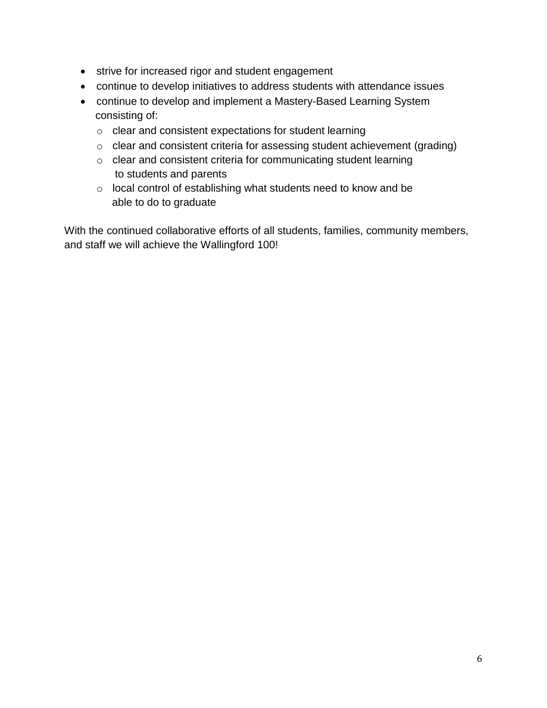- strive for increased rigor and student engagement
- continue to develop initiatives to address students with attendance issues
- continue to develop and implement a Mastery-Based Learning System consisting of:
	- o clear and consistent expectations for student learning
	- o clear and consistent criteria for assessing student achievement (grading)
	- o clear and consistent criteria for communicating student learning to students and parents
	- o local control of establishing what students need to know and be able to do to graduate

With the continued collaborative efforts of all students, families, community members, and staff we will achieve the Wallingford 100!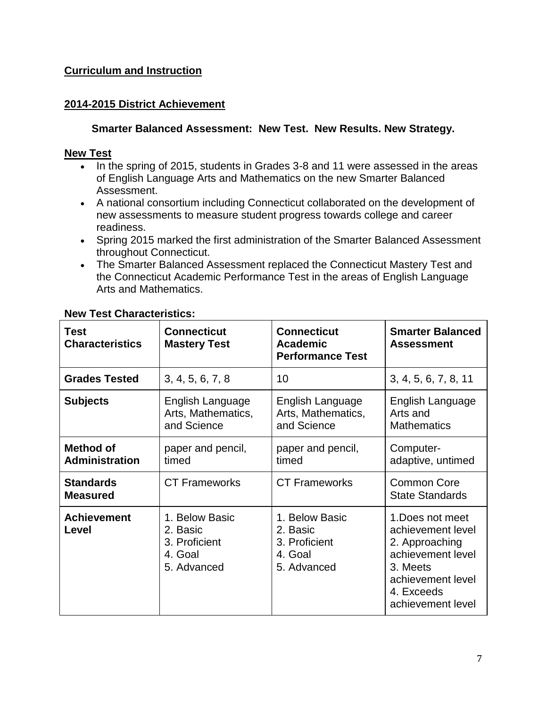# **Curriculum and Instruction**

### **2014-2015 District Achievement**

### **Smarter Balanced Assessment: New Test. New Results. New Strategy.**

#### **New Test**

- In the spring of 2015, students in Grades 3-8 and 11 were assessed in the areas of English Language Arts and Mathematics on the new Smarter Balanced Assessment.
- A national consortium including Connecticut collaborated on the development of new assessments to measure student progress towards college and career readiness.
- Spring 2015 marked the first administration of the Smarter Balanced Assessment throughout Connecticut.
- The Smarter Balanced Assessment replaced the Connecticut Mastery Test and the Connecticut Academic Performance Test in the areas of English Language Arts and Mathematics.

| <b>Test</b><br><b>Characteristics</b> | <b>Connecticut</b><br><b>Mastery Test</b>                             | <b>Connecticut</b><br><b>Academic</b><br><b>Performance Test</b>      | <b>Smarter Balanced</b><br><b>Assessment</b>                                                                                                     |
|---------------------------------------|-----------------------------------------------------------------------|-----------------------------------------------------------------------|--------------------------------------------------------------------------------------------------------------------------------------------------|
| <b>Grades Tested</b>                  | 3, 4, 5, 6, 7, 8                                                      | 10                                                                    | 3, 4, 5, 6, 7, 8, 11                                                                                                                             |
| <b>Subjects</b>                       | English Language<br>Arts, Mathematics,<br>and Science                 | English Language<br>Arts, Mathematics,<br>and Science                 | English Language<br>Arts and<br><b>Mathematics</b>                                                                                               |
| <b>Method of</b><br>Administration    | paper and pencil,<br>timed                                            | paper and pencil,<br>timed                                            | Computer-<br>adaptive, untimed                                                                                                                   |
| <b>Standards</b><br><b>Measured</b>   | <b>CT Frameworks</b>                                                  | <b>CT Frameworks</b>                                                  | <b>Common Core</b><br><b>State Standards</b>                                                                                                     |
| <b>Achievement</b><br>Level           | 1. Below Basic<br>2. Basic<br>3. Proficient<br>4. Goal<br>5. Advanced | 1. Below Basic<br>2. Basic<br>3. Proficient<br>4. Goal<br>5. Advanced | 1. Does not meet<br>achievement level<br>2. Approaching<br>achievement level<br>3. Meets<br>achievement level<br>4. Exceeds<br>achievement level |

## **New Test Characteristics:**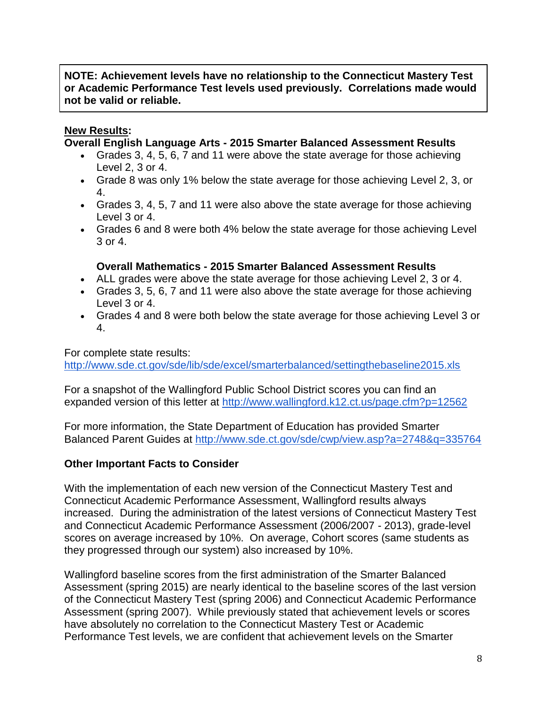## **NOTE: Achievement levels have no relationship to the Connecticut Mastery Test or Academic Performance Test levels used previously. Correlations made would not be valid or reliable.**

## **New Results:**

#### **Overall English Language Arts - 2015 Smarter Balanced Assessment Results**

- Grades 3, 4, 5, 6, 7 and 11 were above the state average for those achieving Level 2, 3 or 4.
- Grade 8 was only 1% below the state average for those achieving Level 2, 3, or 4.
- Grades 3, 4, 5, 7 and 11 were also above the state average for those achieving Level 3 or 4.
- Grades 6 and 8 were both 4% below the state average for those achieving Level 3 or 4.

#### **Overall Mathematics - 2015 Smarter Balanced Assessment Results**

- ALL grades were above the state average for those achieving Level 2, 3 or 4.
- Grades 3, 5, 6, 7 and 11 were also above the state average for those achieving Level 3 or 4.
- Grades 4 and 8 were both below the state average for those achieving Level 3 or 4.

For complete state results: <http://www.sde.ct.gov/sde/lib/sde/excel/smarterbalanced/settingthebaseline2015.xls>

For a snapshot of the Wallingford Public School District scores you can find an expanded version of this letter at http://www.wallingford.k12.ct.us/page.cfm?p=12562

For more information, the State Department of Education has provided Smarter Balanced Parent Guides at <http://www.sde.ct.gov/sde/cwp/view.asp?a=2748&q=335764>

### **Other Important Facts to Consider**

With the implementation of each new version of the Connecticut Mastery Test and Connecticut Academic Performance Assessment, Wallingford results always increased. During the administration of the latest versions of Connecticut Mastery Test and Connecticut Academic Performance Assessment (2006/2007 - 2013), grade-level scores on average increased by 10%. On average, Cohort scores (same students as they progressed through our system) also increased by 10%.

Wallingford baseline scores from the first administration of the Smarter Balanced Assessment (spring 2015) are nearly identical to the baseline scores of the last version of the Connecticut Mastery Test (spring 2006) and Connecticut Academic Performance Assessment (spring 2007). While previously stated that achievement levels or scores have absolutely no correlation to the Connecticut Mastery Test or Academic Performance Test levels, we are confident that achievement levels on the Smarter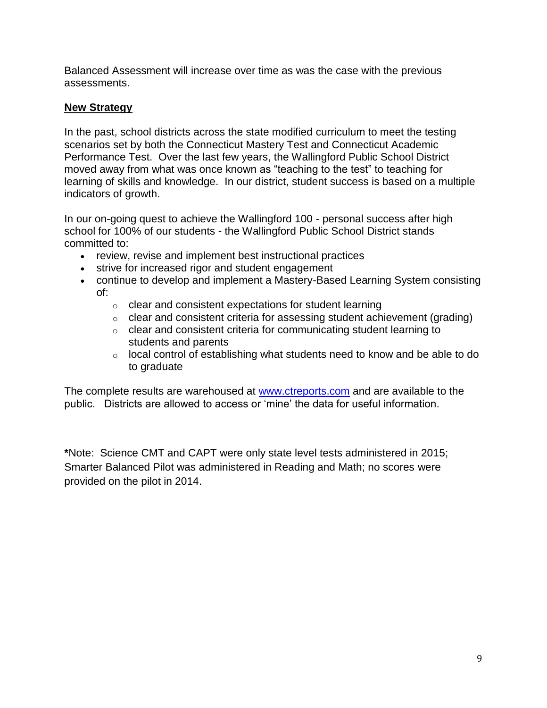Balanced Assessment will increase over time as was the case with the previous assessments.

## **New Strategy**

In the past, school districts across the state modified curriculum to meet the testing scenarios set by both the Connecticut Mastery Test and Connecticut Academic Performance Test. Over the last few years, the Wallingford Public School District moved away from what was once known as "teaching to the test" to teaching for learning of skills and knowledge. In our district, student success is based on a multiple indicators of growth.

In our on-going quest to achieve the Wallingford 100 - personal success after high school for 100% of our students - the Wallingford Public School District stands committed to:

- review, revise and implement best instructional practices
- strive for increased rigor and student engagement
- continue to develop and implement a Mastery-Based Learning System consisting of:
	- o clear and consistent expectations for student learning
	- o clear and consistent criteria for assessing student achievement (grading)
	- o clear and consistent criteria for communicating student learning to students and parents
	- $\circ$  local control of establishing what students need to know and be able to do to graduate

The complete results are warehoused at www.ctreports.com and are available to the public. Districts are allowed to access or 'mine' the data for useful information.

**\***Note: Science CMT and CAPT were only state level tests administered in 2015; Smarter Balanced Pilot was administered in Reading and Math; no scores were provided on the pilot in 2014.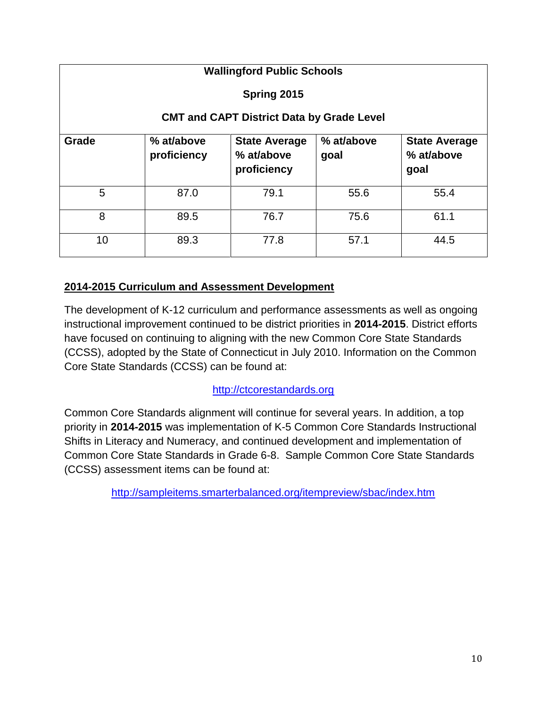| <b>Wallingford Public Schools</b>                |                           |                                                   |                    |                                            |  |  |
|--------------------------------------------------|---------------------------|---------------------------------------------------|--------------------|--------------------------------------------|--|--|
| Spring 2015                                      |                           |                                                   |                    |                                            |  |  |
| <b>CMT and CAPT District Data by Grade Level</b> |                           |                                                   |                    |                                            |  |  |
| Grade                                            | % at/above<br>proficiency | <b>State Average</b><br>% at/above<br>proficiency | % at/above<br>goal | <b>State Average</b><br>% at/above<br>goal |  |  |
| 5                                                | 87.0                      | 79.1                                              | 55.6               | 55.4                                       |  |  |
| 8                                                | 89.5                      | 76.7                                              | 75.6               | 61.1                                       |  |  |
| 10                                               | 89.3                      | 77.8                                              | 57.1               | 44.5                                       |  |  |

# **2014-2015 Curriculum and Assessment Development**

The development of K-12 curriculum and performance assessments as well as ongoing instructional improvement continued to be district priorities in **2014-2015**. District efforts have focused on continuing to aligning with the new Common Core State Standards (CCSS), adopted by the State of Connecticut in July 2010. Information on the Common Core State Standards (CCSS) can be found at:

# [http://ctcorestandards.org](http://ctcorestandards.org/)

Common Core Standards alignment will continue for several years. In addition, a top priority in **2014-2015** was implementation of K-5 Common Core Standards Instructional Shifts in Literacy and Numeracy, and continued development and implementation of Common Core State Standards in Grade 6-8. Sample Common Core State Standards (CCSS) assessment items can be found at:

<http://sampleitems.smarterbalanced.org/itempreview/sbac/index.htm>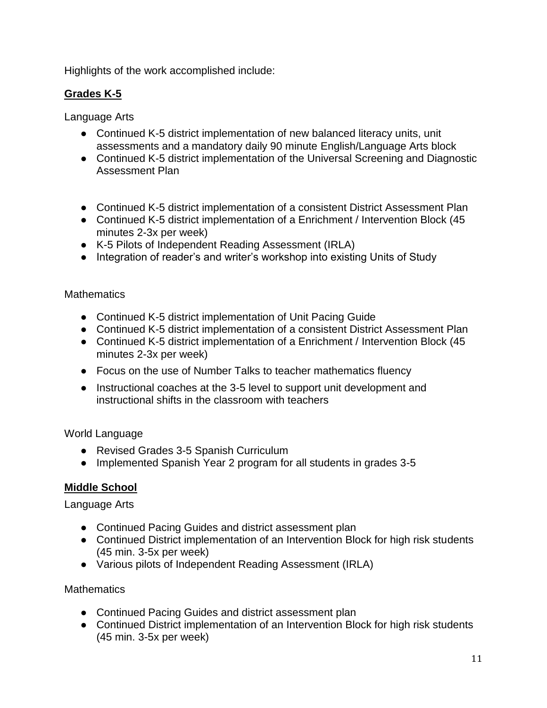Highlights of the work accomplished include:

# **Grades K-5**

Language Arts

- Continued K-5 district implementation of new balanced literacy units, unit assessments and a mandatory daily 90 minute English/Language Arts block
- Continued K-5 district implementation of the Universal Screening and Diagnostic Assessment Plan
- Continued K-5 district implementation of a consistent District Assessment Plan
- Continued K-5 district implementation of a Enrichment / Intervention Block (45 minutes 2-3x per week)
- K-5 Pilots of Independent Reading Assessment (IRLA)
- Integration of reader's and writer's workshop into existing Units of Study

### **Mathematics**

- Continued K-5 district implementation of Unit Pacing Guide
- Continued K-5 district implementation of a consistent District Assessment Plan
- Continued K-5 district implementation of a Enrichment / Intervention Block (45 minutes 2-3x per week)
- Focus on the use of Number Talks to teacher mathematics fluency
- Instructional coaches at the 3-5 level to support unit development and instructional shifts in the classroom with teachers

# World Language

- Revised Grades 3-5 Spanish Curriculum
- Implemented Spanish Year 2 program for all students in grades 3-5

# **Middle School**

Language Arts

- Continued Pacing Guides and district assessment plan
- Continued District implementation of an Intervention Block for high risk students (45 min. 3-5x per week)
- Various pilots of Independent Reading Assessment (IRLA)

**Mathematics** 

- Continued Pacing Guides and district assessment plan
- Continued District implementation of an Intervention Block for high risk students (45 min. 3-5x per week)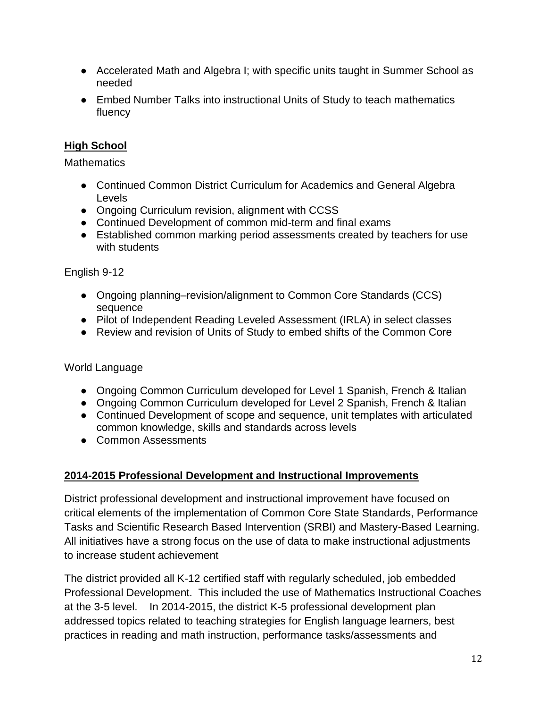- Accelerated Math and Algebra I; with specific units taught in Summer School as needed
- Embed Number Talks into instructional Units of Study to teach mathematics fluency

# **High School**

**Mathematics** 

- Continued Common District Curriculum for Academics and General Algebra Levels
- Ongoing Curriculum revision, alignment with CCSS
- Continued Development of common mid-term and final exams
- Established common marking period assessments created by teachers for use with students

# English 9-12

- Ongoing planning–revision/alignment to Common Core Standards (CCS) sequence
- Pilot of Independent Reading Leveled Assessment (IRLA) in select classes
- Review and revision of Units of Study to embed shifts of the Common Core

# World Language

- Ongoing Common Curriculum developed for Level 1 Spanish, French & Italian
- Ongoing Common Curriculum developed for Level 2 Spanish, French & Italian
- Continued Development of scope and sequence, unit templates with articulated common knowledge, skills and standards across levels
- Common Assessments

# **2014-2015 Professional Development and Instructional Improvements**

District professional development and instructional improvement have focused on critical elements of the implementation of Common Core State Standards, Performance Tasks and Scientific Research Based Intervention (SRBI) and Mastery-Based Learning. All initiatives have a strong focus on the use of data to make instructional adjustments to increase student achievement

The district provided all K-12 certified staff with regularly scheduled, job embedded Professional Development. This included the use of Mathematics Instructional Coaches at the 3-5 level. In 2014-2015, the district K-5 professional development plan addressed topics related to teaching strategies for English language learners, best practices in reading and math instruction, performance tasks/assessments and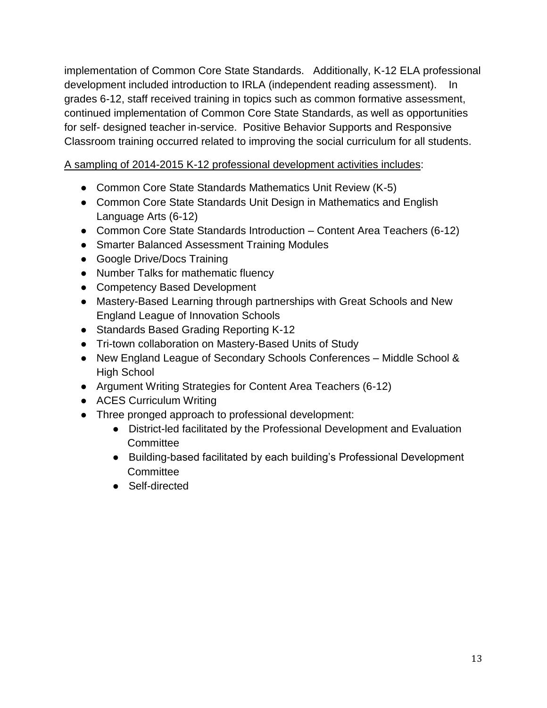implementation of Common Core State Standards. Additionally, K-12 ELA professional development included introduction to IRLA (independent reading assessment). In grades 6-12, staff received training in topics such as common formative assessment, continued implementation of Common Core State Standards, as well as opportunities for self- designed teacher in-service. Positive Behavior Supports and Responsive Classroom training occurred related to improving the social curriculum for all students.

# A sampling of 2014-2015 K-12 professional development activities includes:

- Common Core State Standards Mathematics Unit Review (K-5)
- Common Core State Standards Unit Design in Mathematics and English Language Arts (6-12)
- Common Core State Standards Introduction Content Area Teachers (6-12)
- Smarter Balanced Assessment Training Modules
- Google Drive/Docs Training
- Number Talks for mathematic fluency
- Competency Based Development
- Mastery-Based Learning through partnerships with Great Schools and New England League of Innovation Schools
- Standards Based Grading Reporting K-12
- Tri-town collaboration on Mastery-Based Units of Study
- New England League of Secondary Schools Conferences Middle School & High School
- Argument Writing Strategies for Content Area Teachers (6-12)
- ACES Curriculum Writing
- Three pronged approach to professional development:
	- District-led facilitated by the Professional Development and Evaluation **Committee**
	- Building-based facilitated by each building's Professional Development **Committee**
	- Self-directed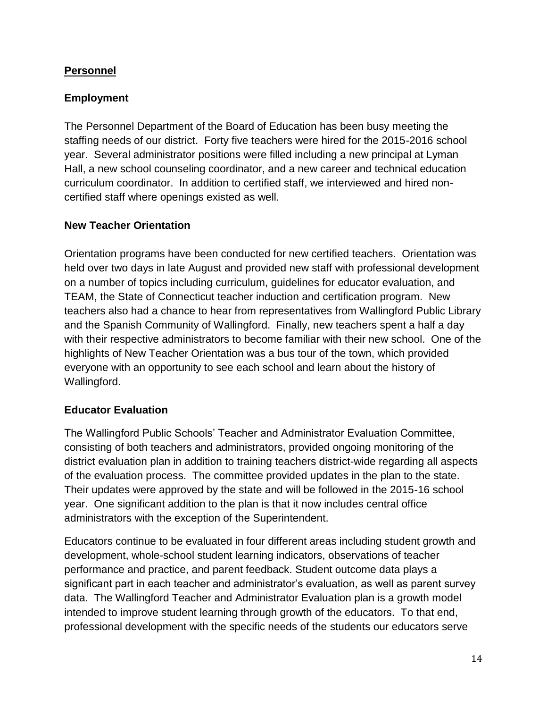# **Personnel**

# **Employment**

The Personnel Department of the Board of Education has been busy meeting the staffing needs of our district. Forty five teachers were hired for the 2015-2016 school year. Several administrator positions were filled including a new principal at Lyman Hall, a new school counseling coordinator, and a new career and technical education curriculum coordinator. In addition to certified staff, we interviewed and hired noncertified staff where openings existed as well.

# **New Teacher Orientation**

Orientation programs have been conducted for new certified teachers. Orientation was held over two days in late August and provided new staff with professional development on a number of topics including curriculum, guidelines for educator evaluation, and TEAM, the State of Connecticut teacher induction and certification program. New teachers also had a chance to hear from representatives from Wallingford Public Library and the Spanish Community of Wallingford. Finally, new teachers spent a half a day with their respective administrators to become familiar with their new school. One of the highlights of New Teacher Orientation was a bus tour of the town, which provided everyone with an opportunity to see each school and learn about the history of Wallingford.

# **Educator Evaluation**

The Wallingford Public Schools' Teacher and Administrator Evaluation Committee, consisting of both teachers and administrators, provided ongoing monitoring of the district evaluation plan in addition to training teachers district-wide regarding all aspects of the evaluation process. The committee provided updates in the plan to the state. Their updates were approved by the state and will be followed in the 2015-16 school year. One significant addition to the plan is that it now includes central office administrators with the exception of the Superintendent.

Educators continue to be evaluated in four different areas including student growth and development, whole-school student learning indicators, observations of teacher performance and practice, and parent feedback. Student outcome data plays a significant part in each teacher and administrator's evaluation, as well as parent survey data. The Wallingford Teacher and Administrator Evaluation plan is a growth model intended to improve student learning through growth of the educators. To that end, professional development with the specific needs of the students our educators serve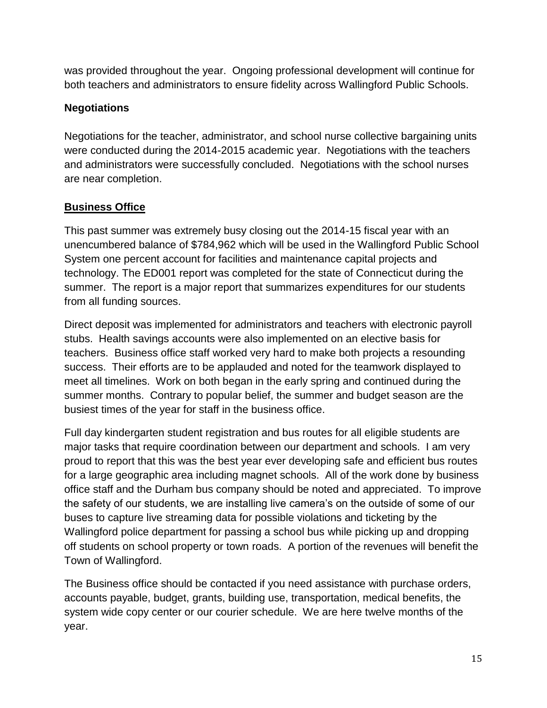was provided throughout the year. Ongoing professional development will continue for both teachers and administrators to ensure fidelity across Wallingford Public Schools.

# **Negotiations**

Negotiations for the teacher, administrator, and school nurse collective bargaining units were conducted during the 2014-2015 academic year. Negotiations with the teachers and administrators were successfully concluded. Negotiations with the school nurses are near completion.

# **Business Office**

This past summer was extremely busy closing out the 2014-15 fiscal year with an unencumbered balance of \$784,962 which will be used in the Wallingford Public School System one percent account for facilities and maintenance capital projects and technology. The ED001 report was completed for the state of Connecticut during the summer. The report is a major report that summarizes expenditures for our students from all funding sources.

Direct deposit was implemented for administrators and teachers with electronic payroll stubs. Health savings accounts were also implemented on an elective basis for teachers. Business office staff worked very hard to make both projects a resounding success. Their efforts are to be applauded and noted for the teamwork displayed to meet all timelines. Work on both began in the early spring and continued during the summer months. Contrary to popular belief, the summer and budget season are the busiest times of the year for staff in the business office.

Full day kindergarten student registration and bus routes for all eligible students are major tasks that require coordination between our department and schools. I am very proud to report that this was the best year ever developing safe and efficient bus routes for a large geographic area including magnet schools. All of the work done by business office staff and the Durham bus company should be noted and appreciated. To improve the safety of our students, we are installing live camera's on the outside of some of our buses to capture live streaming data for possible violations and ticketing by the Wallingford police department for passing a school bus while picking up and dropping off students on school property or town roads. A portion of the revenues will benefit the Town of Wallingford.

The Business office should be contacted if you need assistance with purchase orders, accounts payable, budget, grants, building use, transportation, medical benefits, the system wide copy center or our courier schedule. We are here twelve months of the year.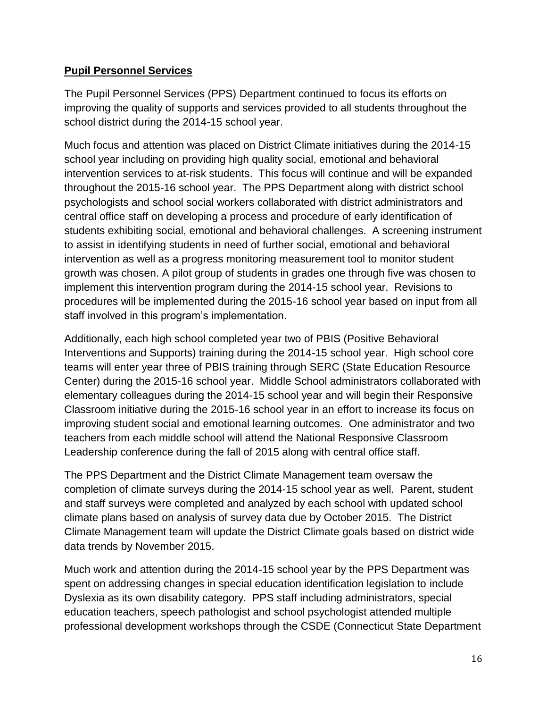# **Pupil Personnel Services**

The Pupil Personnel Services (PPS) Department continued to focus its efforts on improving the quality of supports and services provided to all students throughout the school district during the 2014-15 school year.

Much focus and attention was placed on District Climate initiatives during the 2014-15 school year including on providing high quality social, emotional and behavioral intervention services to at-risk students. This focus will continue and will be expanded throughout the 2015-16 school year. The PPS Department along with district school psychologists and school social workers collaborated with district administrators and central office staff on developing a process and procedure of early identification of students exhibiting social, emotional and behavioral challenges. A screening instrument to assist in identifying students in need of further social, emotional and behavioral intervention as well as a progress monitoring measurement tool to monitor student growth was chosen. A pilot group of students in grades one through five was chosen to implement this intervention program during the 2014-15 school year. Revisions to procedures will be implemented during the 2015-16 school year based on input from all staff involved in this program's implementation.

Additionally, each high school completed year two of PBIS (Positive Behavioral Interventions and Supports) training during the 2014-15 school year. High school core teams will enter year three of PBIS training through SERC (State Education Resource Center) during the 2015-16 school year. Middle School administrators collaborated with elementary colleagues during the 2014-15 school year and will begin their Responsive Classroom initiative during the 2015-16 school year in an effort to increase its focus on improving student social and emotional learning outcomes. One administrator and two teachers from each middle school will attend the National Responsive Classroom Leadership conference during the fall of 2015 along with central office staff.

The PPS Department and the District Climate Management team oversaw the completion of climate surveys during the 2014-15 school year as well. Parent, student and staff surveys were completed and analyzed by each school with updated school climate plans based on analysis of survey data due by October 2015. The District Climate Management team will update the District Climate goals based on district wide data trends by November 2015.

Much work and attention during the 2014-15 school year by the PPS Department was spent on addressing changes in special education identification legislation to include Dyslexia as its own disability category. PPS staff including administrators, special education teachers, speech pathologist and school psychologist attended multiple professional development workshops through the CSDE (Connecticut State Department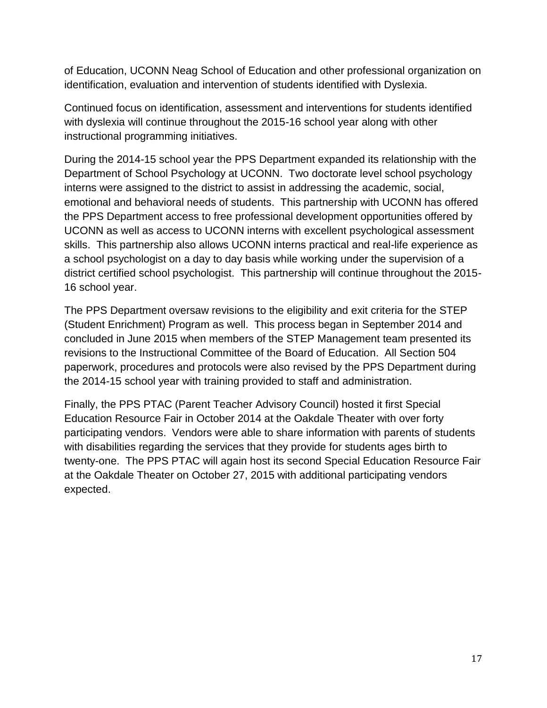of Education, UCONN Neag School of Education and other professional organization on identification, evaluation and intervention of students identified with Dyslexia.

Continued focus on identification, assessment and interventions for students identified with dyslexia will continue throughout the 2015-16 school year along with other instructional programming initiatives.

During the 2014-15 school year the PPS Department expanded its relationship with the Department of School Psychology at UCONN. Two doctorate level school psychology interns were assigned to the district to assist in addressing the academic, social, emotional and behavioral needs of students. This partnership with UCONN has offered the PPS Department access to free professional development opportunities offered by UCONN as well as access to UCONN interns with excellent psychological assessment skills. This partnership also allows UCONN interns practical and real-life experience as a school psychologist on a day to day basis while working under the supervision of a district certified school psychologist. This partnership will continue throughout the 2015- 16 school year.

The PPS Department oversaw revisions to the eligibility and exit criteria for the STEP (Student Enrichment) Program as well. This process began in September 2014 and concluded in June 2015 when members of the STEP Management team presented its revisions to the Instructional Committee of the Board of Education. All Section 504 paperwork, procedures and protocols were also revised by the PPS Department during the 2014-15 school year with training provided to staff and administration.

Finally, the PPS PTAC (Parent Teacher Advisory Council) hosted it first Special Education Resource Fair in October 2014 at the Oakdale Theater with over forty participating vendors. Vendors were able to share information with parents of students with disabilities regarding the services that they provide for students ages birth to twenty-one. The PPS PTAC will again host its second Special Education Resource Fair at the Oakdale Theater on October 27, 2015 with additional participating vendors expected.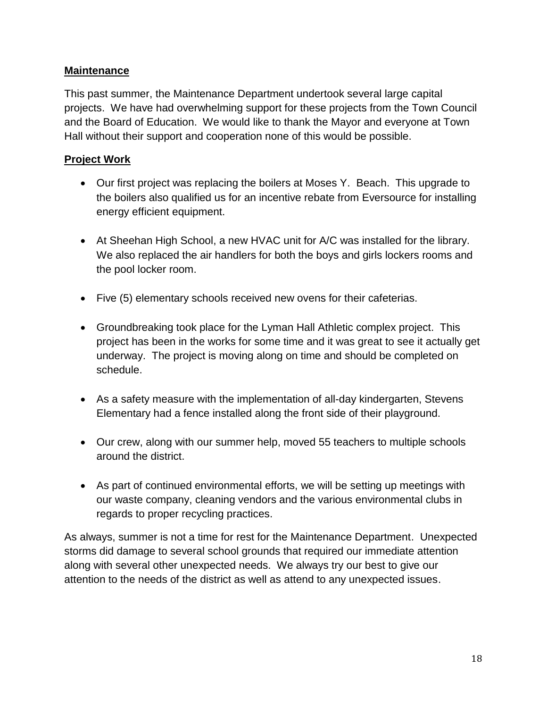# **Maintenance**

This past summer, the Maintenance Department undertook several large capital projects. We have had overwhelming support for these projects from the Town Council and the Board of Education. We would like to thank the Mayor and everyone at Town Hall without their support and cooperation none of this would be possible.

# **Project Work**

- Our first project was replacing the boilers at Moses Y. Beach. This upgrade to the boilers also qualified us for an incentive rebate from Eversource for installing energy efficient equipment.
- At Sheehan High School, a new HVAC unit for A/C was installed for the library. We also replaced the air handlers for both the boys and girls lockers rooms and the pool locker room.
- Five (5) elementary schools received new ovens for their cafeterias.
- Groundbreaking took place for the Lyman Hall Athletic complex project. This project has been in the works for some time and it was great to see it actually get underway. The project is moving along on time and should be completed on schedule.
- As a safety measure with the implementation of all-day kindergarten, Stevens Elementary had a fence installed along the front side of their playground.
- Our crew, along with our summer help, moved 55 teachers to multiple schools around the district.
- As part of continued environmental efforts, we will be setting up meetings with our waste company, cleaning vendors and the various environmental clubs in regards to proper recycling practices.

As always, summer is not a time for rest for the Maintenance Department. Unexpected storms did damage to several school grounds that required our immediate attention along with several other unexpected needs. We always try our best to give our attention to the needs of the district as well as attend to any unexpected issues.